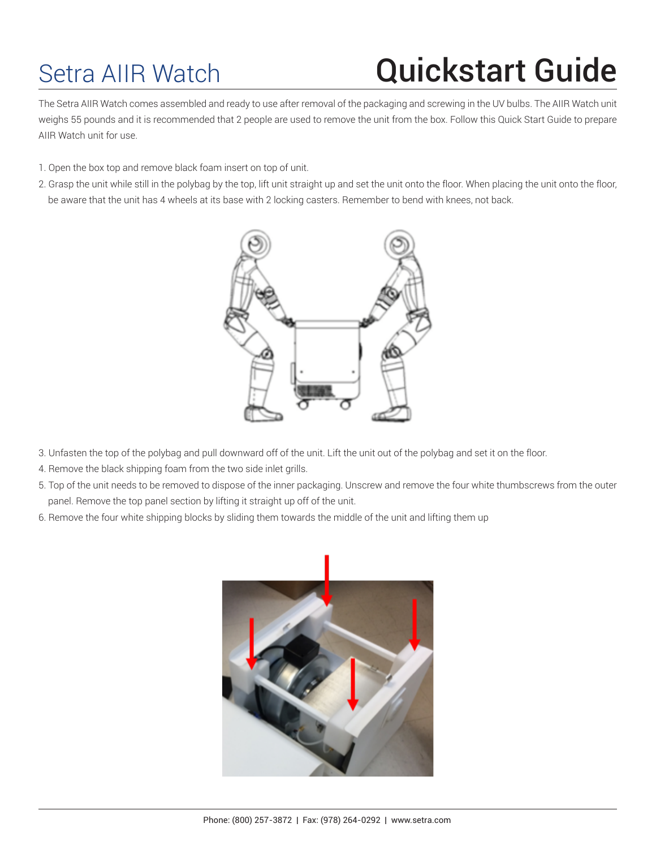## Setra AIIR Watch **Quickstart Guide**

The Setra AIIR Watch comes assembled and ready to use after removal of the packaging and screwing in the UV bulbs. The AIIR Watch unit weighs 55 pounds and it is recommended that 2 people are used to remove the unit from the box. Follow this Quick Start Guide to prepare AIIR Watch unit for use.

- 1. Open the box top and remove black foam insert on top of unit.
- 2. Grasp the unit while still in the polybag by the top, lift unit straight up and set the unit onto the floor. When placing the unit onto the floor, be aware that the unit has 4 wheels at its base with 2 locking casters. Remember to bend with knees, not back.



- 3. Unfasten the top of the polybag and pull downward off of the unit. Lift the unit out of the polybag and set it on the floor.
- 4. Remove the black shipping foam from the two side inlet grills.
- 5. Top of the unit needs to be removed to dispose of the inner packaging. Unscrew and remove the four white thumbscrews from the outer panel. Remove the top panel section by lifting it straight up off of the unit.
- 6. Remove the four white shipping blocks by sliding them towards the middle of the unit and lifting them up